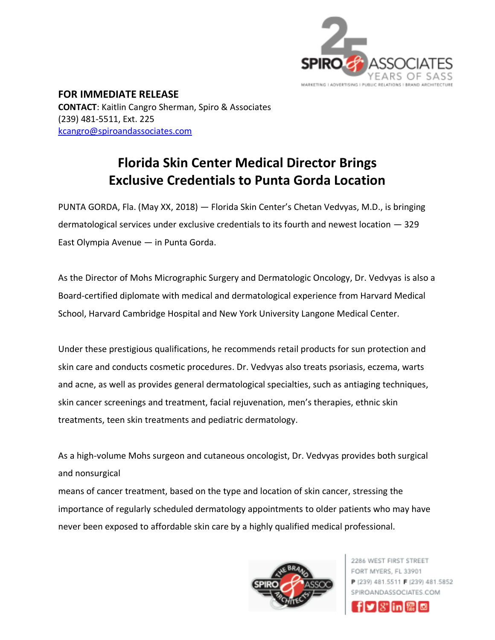

**FOR IMMEDIATE RELEASE CONTACT**: Kaitlin Cangro Sherman, Spiro & Associates (239) 481-5511, Ext. 225 [kcangro@spiroandassociates.com](mailto:kcangro@spiroandassociates.com)

## **Florida Skin Center Medical Director Brings Exclusive Credentials to Punta Gorda Location**

PUNTA GORDA, Fla. (May XX, 2018) — Florida Skin Center's Chetan Vedvyas, M.D., is bringing dermatological services under exclusive credentials to its fourth and newest location — 329 East Olympia Avenue — in Punta Gorda.

As the Director of Mohs Micrographic Surgery and Dermatologic Oncology, Dr. Vedvyas is also a Board-certified diplomate with medical and dermatological experience from Harvard Medical School, Harvard Cambridge Hospital and New York University Langone Medical Center.

Under these prestigious qualifications, he recommends retail products for sun protection and skin care and conducts cosmetic procedures. Dr. Vedvyas also treats psoriasis, eczema, warts and acne, as well as provides general dermatological specialties, such as antiaging techniques, skin cancer screenings and treatment, facial rejuvenation, men's therapies, ethnic skin treatments, teen skin treatments and pediatric dermatology.

As a high-volume Mohs surgeon and cutaneous oncologist, Dr. Vedvyas provides both surgical and nonsurgical

means of cancer treatment, based on the type and location of skin cancer, stressing the importance of regularly scheduled dermatology appointments to older patients who may have never been exposed to affordable skin care by a highly qualified medical professional.



2286 WEST FIRST STREET FORT MYERS, FL 33901 P (239) 481.5511 F (239) 481.5852 SPIROANDASSOCIATES.COM